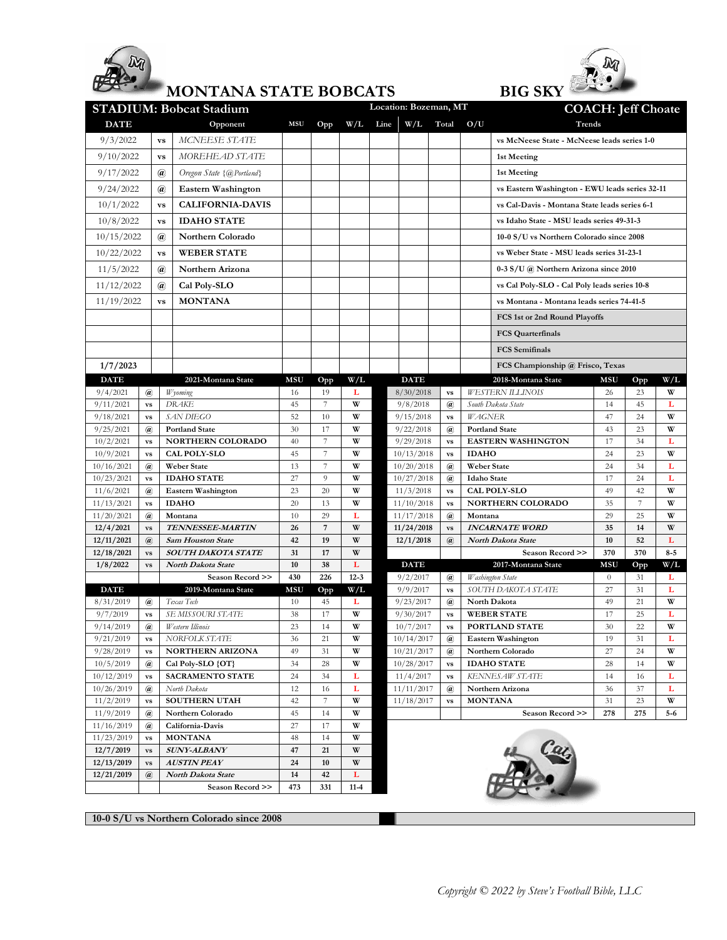

## **MONTANA STATE BOBCATS**



| Location: Bozeman, MT<br><b>STADIUM: Bobcat Stadium</b><br><b>COACH: Jeff Choate</b> |                                                      |                                   |                           |            |                |            |  |                          |                                    |              |                                                |            |                |          |  |  |
|--------------------------------------------------------------------------------------|------------------------------------------------------|-----------------------------------|---------------------------|------------|----------------|------------|--|--------------------------|------------------------------------|--------------|------------------------------------------------|------------|----------------|----------|--|--|
| <b>DATE</b><br>Opponent                                                              |                                                      |                                   | <b>MSU</b>                | Opp        |                | $W/L$ Line |  | W/L Total                | O/U                                | Trends       |                                                |            |                |          |  |  |
| 9/3/2022                                                                             |                                                      | MCNEESE STATE<br><b>VS</b>        |                           |            |                |            |  |                          |                                    |              | vs McNeese State - McNeese leads series 1-0    |            |                |          |  |  |
| 9/10/2022                                                                            | <b>VS</b>                                            |                                   | MOREHEAD STATE            |            |                |            |  |                          |                                    |              | 1st Meeting                                    |            |                |          |  |  |
| 9/17/2022                                                                            | $\bm{a}$                                             |                                   | Oregon State {@Portland}  |            |                |            |  |                          |                                    |              | 1st Meeting                                    |            |                |          |  |  |
| 9/24/2022                                                                            | $\bm{a}$                                             |                                   |                           |            |                |            |  |                          |                                    |              | vs Eastern Washington - EWU leads series 32-11 |            |                |          |  |  |
| 10/1/2022                                                                            |                                                      |                                   | Eastern Washington        |            |                |            |  |                          |                                    |              | vs Cal-Davis - Montana State leads series 6-1  |            |                |          |  |  |
|                                                                                      |                                                      | <b>VS</b>                         | <b>CALIFORNIA-DAVIS</b>   |            |                |            |  |                          |                                    |              | vs Idaho State - MSU leads series 49-31-3      |            |                |          |  |  |
|                                                                                      | 10/8/2022<br><b>VS</b>                               |                                   | <b>IDAHO STATE</b>        |            |                |            |  |                          |                                    |              |                                                |            |                |          |  |  |
|                                                                                      | 10/15/2022<br>$\bm{a}$                               |                                   | Northern Colorado         |            |                |            |  |                          |                                    |              | 10-0 S/U vs Northern Colorado since 2008       |            |                |          |  |  |
|                                                                                      | 10/22/2022<br><b>VS</b>                              |                                   | <b>WEBER STATE</b>        |            |                |            |  |                          |                                    |              | vs Weber State - MSU leads series 31-23-1      |            |                |          |  |  |
| 11/5/2022                                                                            |                                                      | $\mathbf{a}$                      | Northern Arizona          |            |                |            |  |                          |                                    |              | $0-3$ S/U $\omega$ Northern Arizona since 2010 |            |                |          |  |  |
| 11/12/2022                                                                           |                                                      | $\bm{a}$                          | Cal Poly-SLO              |            |                |            |  |                          |                                    |              | vs Cal Poly-SLO - Cal Poly leads series 10-8   |            |                |          |  |  |
| 11/19/2022                                                                           |                                                      | <b>VS</b>                         | <b>MONTANA</b>            |            |                |            |  |                          |                                    |              | vs Montana - Montana leads series 74-41-5      |            |                |          |  |  |
|                                                                                      |                                                      |                                   |                           |            |                |            |  |                          |                                    |              | FCS 1st or 2nd Round Playoffs                  |            |                |          |  |  |
|                                                                                      |                                                      |                                   |                           |            |                |            |  |                          |                                    |              | <b>FCS Quarterfinals</b>                       |            |                |          |  |  |
|                                                                                      |                                                      |                                   |                           |            |                |            |  |                          |                                    |              | <b>FCS</b> Semifinals                          |            |                |          |  |  |
| 1/7/2023                                                                             |                                                      |                                   |                           |            |                |            |  |                          |                                    |              |                                                |            |                |          |  |  |
|                                                                                      |                                                      |                                   | 2021-Montana State        | MSU        |                |            |  | <b>DATE</b>              |                                    |              | FCS Championship @ Frisco, Texas               |            |                |          |  |  |
| <b>DATE</b><br>9/4/2021                                                              | $\omega$                                             | Wyoming                           |                           | 16         | Opp<br>19      | W/L<br>L   |  |                          |                                    |              | 2018-Montana State<br><b>WESTERN ILLINOIS</b>  | MSU<br>26  | Opp<br>23      | W/L<br>W |  |  |
| 9/11/2021                                                                            | $\mathbf{v}\mathbf{s}$                               | <b>DRAKE</b>                      |                           |            | $\overline{7}$ | W          |  | 8/30/2018<br>9/8/2018    | $\mathbf{v}\mathbf{s}$<br>$\omega$ |              | South Dakota State                             | 14         | 45             | L        |  |  |
| 9/18/2021                                                                            | $\mathbf{v}\mathbf{s}$                               | <b>SAN DIEGO</b>                  |                           |            | 10             | W          |  | 9/15/2018                | $\mathbf{v}\mathbf{s}$             | WAGNER       |                                                | 47         | 24             | W        |  |  |
| 9/25/2021                                                                            | $\mathbf{a}$                                         | <b>Portland State</b>             |                           |            | 17             | W          |  | 9/22/2018                | $\mathbf{a}$                       |              | <b>Portland State</b>                          | 43         | 23             | W        |  |  |
| 10/2/2021                                                                            | $\mathbf{v}\mathbf{s}$                               |                                   | NORTHERN COLORADO         |            | 7              | W          |  | 9/29/2018                | $\mathbf{v}\mathbf{s}$             |              | <b>EASTERN WASHINGTON</b>                      | 17         | 34             | L        |  |  |
| 10/9/2021                                                                            | $\mathbf{v}\mathbf{s}$                               | <b>CAL POLY-SLO</b>               |                           | 40<br>45   | $\overline{7}$ | W          |  | 10/13/2018               | $\mathbf{v}\mathbf{s}$             | <b>IDAHO</b> |                                                | 24         | 23             | W        |  |  |
| 10/16/2021                                                                           | $\mathbf{a}$                                         | <b>Weber State</b>                |                           |            | $\overline{7}$ | W          |  | 10/20/2018               | $\mathbf{a}$                       |              | <b>Weber State</b>                             |            | 34             | г        |  |  |
| 10/23/2021                                                                           | $\mathbf{v}\mathbf{s}$                               |                                   | <b>IDAHO STATE</b>        |            | 9              | W          |  | 10/27/2018               | $\omega$                           |              | <b>Idaho</b> State                             |            | 24             | L        |  |  |
| 11/6/2021                                                                            | $\left(\widehat{a}\right)$                           |                                   | <b>Eastern Washington</b> |            | 20             | W          |  | 11/3/2018                | $\mathbf{v}\mathbf{s}$             |              | <b>CAL POLY-SLO</b>                            | 49         | 42             | W        |  |  |
| 11/13/2021                                                                           | $\mathbf{v}\mathbf{s}$                               |                                   | <b>IDAHO</b>              |            | 13             | W          |  | 11/10/2018               | <b>VS</b>                          |              | NORTHERN COLORADO                              | 35         | $\overline{7}$ | W        |  |  |
| 11/20/2021                                                                           | $\mathbf{a}$                                         |                                   | Montana                   |            | 29             | L          |  | 11/17/2018               | $\mathbf{a}$                       | Montana      |                                                | 29         | 25             | W        |  |  |
| 12/4/2021                                                                            | $\mathbf{v}\mathbf{s}$                               |                                   | <b>TENNESSEE-MARTIN</b>   |            | $\overline{7}$ | W          |  | 11/24/2018               | <b>VS</b>                          |              | <b>INCARNATE WORD</b>                          | 35         | 14             | W        |  |  |
| 12/11/2021                                                                           | $\left(\widehat{a}\right)$                           | <b>Sam Houston State</b>          |                           | 42         | 19             | W          |  | 12/1/2018                | @                                  |              | North Dakota State                             | 10         | 52             | L        |  |  |
| 12/18/2021                                                                           | $\mathbf{v}\mathbf{s}$                               |                                   | SOUTH DAKOTA STATE        |            | 17             | W          |  |                          |                                    |              | Season Record >>                               | 370        | 370            | $8-5$    |  |  |
| 1/8/2022                                                                             | $\mathbf{v}\mathbf{s}$                               | <b>North Dakota State</b>         |                           | 10         | 38             | L          |  | <b>DATE</b>              |                                    |              | 2017-Montana State                             | <b>MSU</b> | Opp            | W/L      |  |  |
|                                                                                      |                                                      |                                   | Season Record >>          | 430        | 226            | $12 - 3$   |  | 9/2/2017                 | $\mathbf{a}$                       |              | Washington State                               | $\theta$   | 31             | L        |  |  |
| <b>DATE</b>                                                                          |                                                      |                                   | 2019-Montana State        | <b>MSU</b> | Opp            | W/L        |  | 9/9/2017                 | <b>VS</b>                          |              | SOUTH DAKOTA STATE                             | 27         | 31             | L        |  |  |
| 8/31/2019                                                                            | $\left(\widehat{a}\right)$                           | Texas Tech                        |                           | 10         | 45             | L          |  | 9/23/2017                | $\mathbf{a}$                       |              | North Dakota                                   | 49         | 21             | W        |  |  |
| 9/7/2019                                                                             | $\mathbf{v}\mathbf{s}$                               | SE MISSOURI STATE                 |                           | 38         | 17             | W<br>W     |  | 9/30/2017                | $\mathbf{v}\mathbf{s}$             |              | <b>WEBER STATE</b>                             | 17         | 25<br>22       | L<br>W   |  |  |
| 9/14/2019                                                                            | $\mathbf{a}$                                         | Western Illinois                  |                           | 23         | 14             | W          |  | 10/7/2017                | $\mathbf{v}\mathbf{s}$             |              | PORTLAND STATE                                 | 30         |                |          |  |  |
| 9/21/2019<br>9/28/2019                                                               | $\mathbf{v}\mathbf{s}$                               | NORFOLK STATE<br>NORTHERN ARIZONA |                           | 36<br>49   | 21<br>31       | W          |  | 10/14/2017<br>10/21/2017 | $^{\,(a)}$<br>$\mathbf{a}$         |              | <b>Eastern Washington</b><br>Northern Colorado | 19<br>27   | 31<br>24       | L<br>W   |  |  |
| 10/5/2019                                                                            | $\mathbf{v}\mathbf{s}$<br>$\left(\widehat{a}\right)$ | Cal Poly-SLO {OT}                 |                           | 34         | 28             | W          |  | 10/28/2017               | $\mathbf{v}\mathbf{s}$             |              | <b>IDAHO STATE</b>                             | 28         | 14             | W        |  |  |
| 10/12/2019                                                                           | $\mathbf{v}\mathbf{s}$                               | <b>SACRAMENTO STATE</b>           |                           | 24         | 34             | L          |  | 11/4/2017                | vs                                 |              | KENNESAW STATE                                 | 14         | 16             | L        |  |  |
| 10/26/2019                                                                           | $\left(\widehat{a}\right)$                           | North Dakota                      |                           | 12         | 16             | L          |  | 11/11/2017               | $\omega$                           |              | Northern Arizona                               | 36         | 37             | L        |  |  |
| 11/2/2019                                                                            | $\mathbf{v}\mathbf{s}$                               | <b>SOUTHERN UTAH</b>              |                           | 42         | $\overline{7}$ | W          |  | 11/18/2017               | $\mathbf{v}\mathbf{s}$             |              | <b>MONTANA</b>                                 | 31         | 23             | W        |  |  |
| 11/9/2019                                                                            | @                                                    |                                   | Northern Colorado         |            | 14             | W          |  |                          |                                    |              | Season Record >>                               | 278        | 275            | $5-6$    |  |  |
| 11/16/2019                                                                           | $\left(\widehat{a}\right)$                           |                                   | California-Davis          |            | 17             | W          |  |                          |                                    |              |                                                |            |                |          |  |  |
| 11/23/2019<br>$\mathbf{v}\mathbf{s}$                                                 |                                                      | <b>MONTANA</b>                    |                           |            | 14             | W          |  |                          |                                    |              |                                                |            |                |          |  |  |
| 12/7/2019<br>$\mathbf{v}\mathbf{s}$                                                  |                                                      |                                   | SUNY-ALBANY               |            | 21             | W          |  |                          |                                    |              |                                                |            |                |          |  |  |
| 12/13/2019                                                                           | $\mathbf{v}\mathbf{s}$                               |                                   | <i><b>AUSTIN PEAY</b></i> |            | 10             | W          |  |                          |                                    |              |                                                |            |                |          |  |  |
| 12/21/2019<br>$\left(\widehat{a}\right)$                                             |                                                      |                                   | North Dakota State        |            | 42             | L          |  |                          |                                    |              |                                                |            |                |          |  |  |
|                                                                                      |                                                      |                                   | Season Record >>          | 473        | 331            | $11 - 4$   |  |                          |                                    |              |                                                |            |                |          |  |  |

**10-0 S/U vs Northern Colorado since 2008**